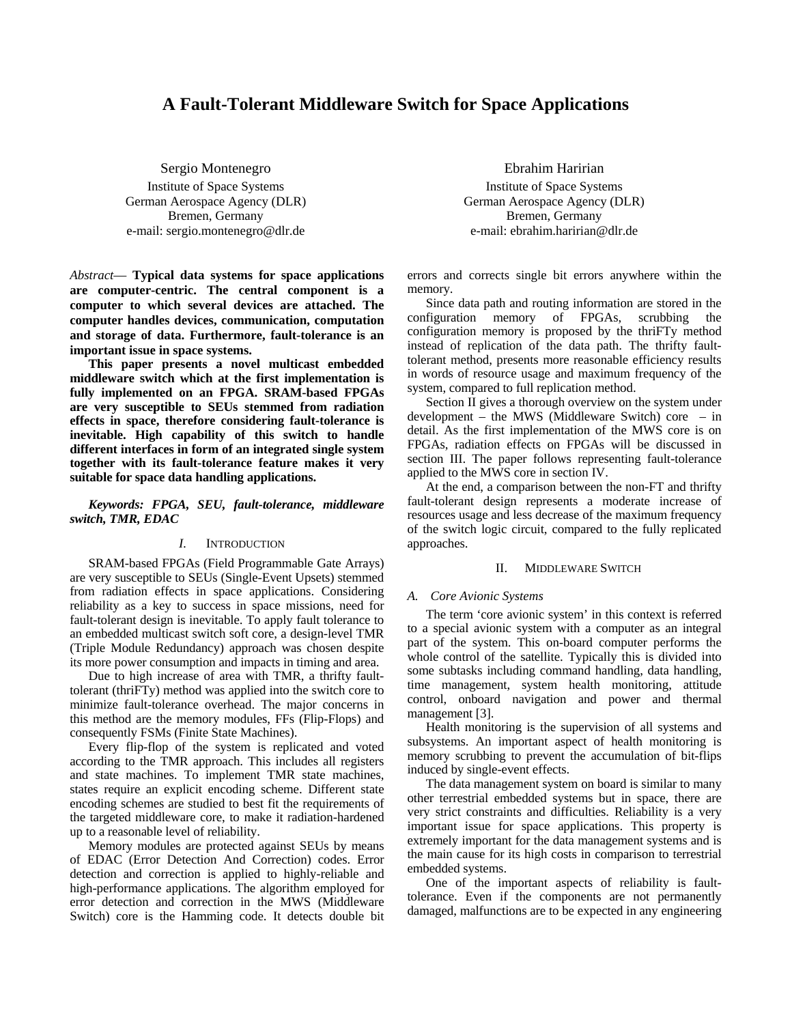# **A Fault-Tolerant Middleware Switch for Space Applications**

Sergio Montenegro Institute of Space Systems German Aerospace Agency (DLR) Bremen, Germany e-mail: sergio.montenegro@dlr.de

*Abstract*— **Typical data systems for space applications are computer-centric. The central component is a computer to which several devices are attached. The computer handles devices, communication, computation and storage of data. Furthermore, fault-tolerance is an important issue in space systems.** 

**This paper presents a novel multicast embedded middleware switch which at the first implementation is fully implemented on an FPGA. SRAM-based FPGAs are very susceptible to SEUs stemmed from radiation effects in space, therefore considering fault-tolerance is inevitable. High capability of this switch to handle different interfaces in form of an integrated single system together with its fault-tolerance feature makes it very suitable for space data handling applications.** 

*Keywords: FPGA, SEU, fault-tolerance, middleware switch, TMR, EDAC* 

### *I.* INTRODUCTION

SRAM-based FPGAs (Field Programmable Gate Arrays) are very susceptible to SEUs (Single-Event Upsets) stemmed from radiation effects in space applications. Considering reliability as a key to success in space missions, need for fault-tolerant design is inevitable. To apply fault tolerance to an embedded multicast switch soft core, a design-level TMR (Triple Module Redundancy) approach was chosen despite its more power consumption and impacts in timing and area.

Due to high increase of area with TMR, a thrifty faulttolerant (thriFTy) method was applied into the switch core to minimize fault-tolerance overhead. The major concerns in this method are the memory modules, FFs (Flip-Flops) and consequently FSMs (Finite State Machines).

Every flip-flop of the system is replicated and voted according to the TMR approach. This includes all registers and state machines. To implement TMR state machines, states require an explicit encoding scheme. Different state encoding schemes are studied to best fit the requirements of the targeted middleware core, to make it radiation-hardened up to a reasonable level of reliability.

Memory modules are protected against SEUs by means of EDAC (Error Detection And Correction) codes. Error detection and correction is applied to highly-reliable and high-performance applications. The algorithm employed for error detection and correction in the MWS (Middleware Switch) core is the Hamming code. It detects double bit

Ebrahim Haririan Institute of Space Systems German Aerospace Agency (DLR) Bremen, Germany e-mail: ebrahim.haririan@dlr.de

errors and corrects single bit errors anywhere within the memory.

Since data path and routing information are stored in the configuration memory of FPGAs, scrubbing the configuration memory is proposed by the thriFTy method instead of replication of the data path. The thrifty faulttolerant method, presents more reasonable efficiency results in words of resource usage and maximum frequency of the system, compared to full replication method.

Section II gives a thorough overview on the system under development – the MWS (Middleware Switch) core – in detail. As the first implementation of the MWS core is on FPGAs, radiation effects on FPGAs will be discussed in section III. The paper follows representing fault-tolerance applied to the MWS core in section IV.

At the end, a comparison between the non-FT and thrifty fault-tolerant design represents a moderate increase of resources usage and less decrease of the maximum frequency of the switch logic circuit, compared to the fully replicated approaches.

# II. MIDDLEWARE SWITCH

### *A. Core Avionic Systems*

The term 'core avionic system' in this context is referred to a special avionic system with a computer as an integral part of the system. This on-board computer performs the whole control of the satellite. Typically this is divided into some subtasks including command handling, data handling, time management, system health monitoring, attitude control, onboard navigation and power and thermal management [3].

Health monitoring is the supervision of all systems and subsystems. An important aspect of health monitoring is memory scrubbing to prevent the accumulation of bit-flips induced by single-event effects.

The data management system on board is similar to many other terrestrial embedded systems but in space, there are very strict constraints and difficulties. Reliability is a very important issue for space applications. This property is extremely important for the data management systems and is the main cause for its high costs in comparison to terrestrial embedded systems.

One of the important aspects of reliability is faulttolerance. Even if the components are not permanently damaged, malfunctions are to be expected in any engineering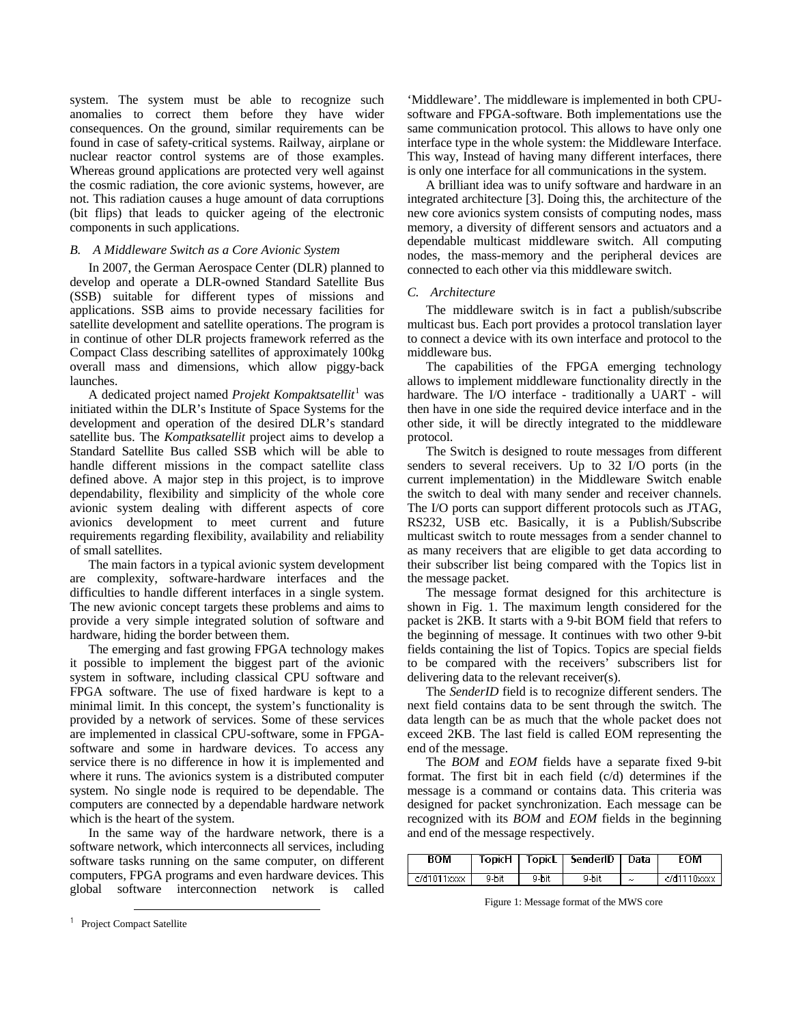system. The system must be able to recognize such anomalies to correct them before they have wider consequences. On the ground, similar requirements can be found in case of safety-critical systems. Railway, airplane or nuclear reactor control systems are of those examples. Whereas ground applications are protected very well against the cosmic radiation, the core avionic systems, however, are not. This radiation causes a huge amount of data corruptions (bit flips) that leads to quicker ageing of the electronic components in such applications.

# *B. A Middleware Switch as a Core Avionic System*

In 2007, the German Aerospace Center (DLR) planned to develop and operate a DLR-owned Standard Satellite Bus (SSB) suitable for different types of missions and applications. SSB aims to provide necessary facilities for satellite development and satellite operations. The program is in continue of other DLR projects framework referred as the Compact Class describing satellites of approximately 100kg overall mass and dimensions, which allow piggy-back launches.

A dedicated project named *Projekt Kompaktsatellit*<sup>[1](#page-1-0)</sup> was initiated within the DLR's Institute of Space Systems for the development and operation of the desired DLR's standard satellite bus. The *Kompatksatellit* project aims to develop a Standard Satellite Bus called SSB which will be able to handle different missions in the compact satellite class defined above. A major step in this project, is to improve dependability, flexibility and simplicity of the whole core avionic system dealing with different aspects of core avionics development to meet current and future requirements regarding flexibility, availability and reliability of small satellites.

The main factors in a typical avionic system development are complexity, software-hardware interfaces and the difficulties to handle different interfaces in a single system. The new avionic concept targets these problems and aims to provide a very simple integrated solution of software and hardware, hiding the border between them.

The emerging and fast growing FPGA technology makes it possible to implement the biggest part of the avionic system in software, including classical CPU software and FPGA software. The use of fixed hardware is kept to a minimal limit. In this concept, the system's functionality is provided by a network of services. Some of these services are implemented in classical CPU-software, some in FPGAsoftware and some in hardware devices. To access any service there is no difference in how it is implemented and where it runs. The avionics system is a distributed computer system. No single node is required to be dependable. The computers are connected by a dependable hardware network which is the heart of the system.

In the same way of the hardware network, there is a software network, which interconnects all services, including software tasks running on the same computer, on different computers, FPGA programs and even hardware devices. This global software interconnection network is called

'Middleware'. The middleware is implemented in both CPUsoftware and FPGA-software. Both implementations use the same communication protocol. This allows to have only one interface type in the whole system: the Middleware Interface. This way, Instead of having many different interfaces, there is only one interface for all communications in the system.

A brilliant idea was to unify software and hardware in an integrated architecture [3]. Doing this, the architecture of the new core avionics system consists of computing nodes, mass memory, a diversity of different sensors and actuators and a dependable multicast middleware switch. All computing nodes, the mass-memory and the peripheral devices are connected to each other via this middleware switch.

# *C. Architecture*

The middleware switch is in fact a publish/subscribe multicast bus. Each port provides a protocol translation layer to connect a device with its own interface and protocol to the middleware bus.

The capabilities of the FPGA emerging technology allows to implement middleware functionality directly in the hardware. The I/O interface - traditionally a UART - will then have in one side the required device interface and in the other side, it will be directly integrated to the middleware protocol.

The Switch is designed to route messages from different senders to several receivers. Up to 32 I/O ports (in the current implementation) in the Middleware Switch enable the switch to deal with many sender and receiver channels. The I/O ports can support different protocols such as JTAG, RS232, USB etc. Basically, it is a Publish/Subscribe multicast switch to route messages from a sender channel to as many receivers that are eligible to get data according to their subscriber list being compared with the Topics list in the message packet.

The message format designed for this architecture is shown in Fig. 1. The maximum length considered for the packet is 2KB. It starts with a 9-bit BOM field that refers to the beginning of message. It continues with two other 9-bit fields containing the list of Topics. Topics are special fields to be compared with the receivers' subscribers list for delivering data to the relevant receiver(s).

The *SenderID* field is to recognize different senders. The next field contains data to be sent through the switch. The data length can be as much that the whole packet does not exceed 2KB. The last field is called EOM representing the end of the message.

The *BOM* and *EOM* fields have a separate fixed 9-bit format. The first bit in each field (c/d) determines if the message is a command or contains data. This criteria was designed for packet synchronization. Each message can be recognized with its *BOM* and *EOM* fields in the beginning and end of the message respectively.

| ROM         |       |       | TopicH   TopicL   SenderID   Data |                       | FOM        |
|-------------|-------|-------|-----------------------------------|-----------------------|------------|
| c/d1011xxxx | 9-bit | 9-bit | 9-bit                             | $\tilde{\phantom{a}}$ | c/d1110xxx |

Figure 1: Message format of the MWS core

<span id="page-1-0"></span> $\overline{a}$ <sup>1</sup> Project Compact Satellite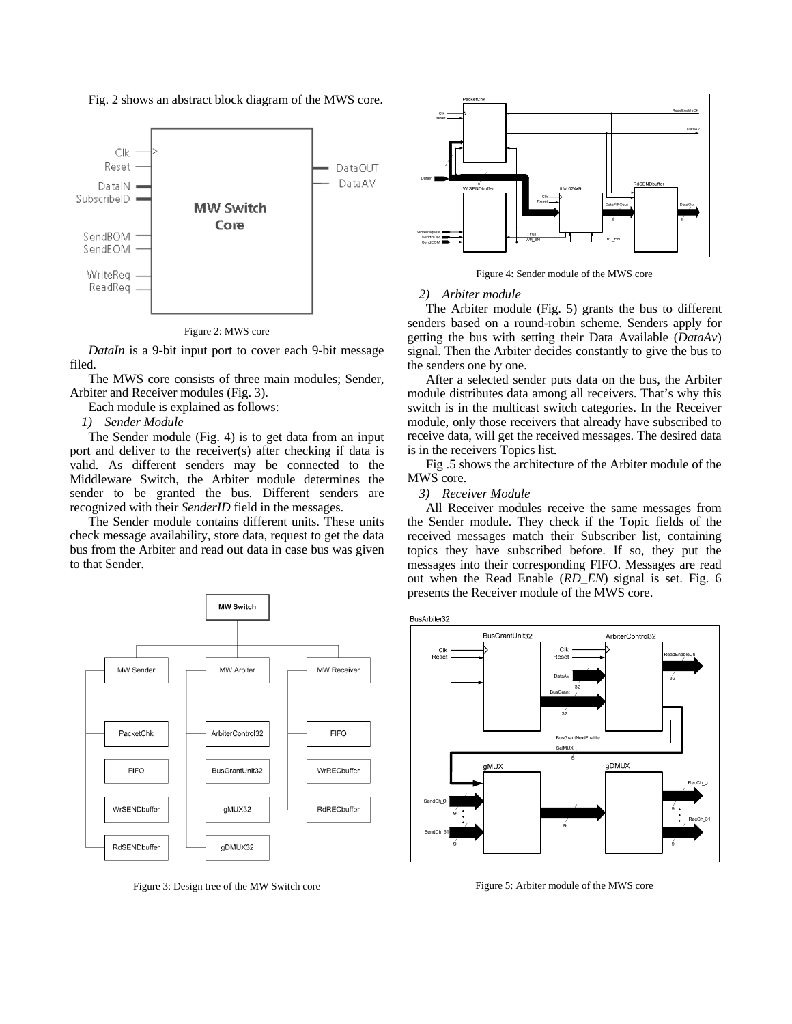Fig. 2 shows an abstract block diagram of the MWS core.





*DataIn* is a 9-bit input port to cover each 9-bit message filed.

The MWS core consists of three main modules; Sender, Arbiter and Receiver modules (Fig. 3).

Each module is explained as follows:

*1) Sender Module* 

The Sender module (Fig. 4) is to get data from an input port and deliver to the receiver(s) after checking if data is valid. As different senders may be connected to the Middleware Switch, the Arbiter module determines the sender to be granted the bus. Different senders are recognized with their *SenderID* field in the messages.

The Sender module contains different units. These units check message availability, store data, request to get the data bus from the Arbiter and read out data in case bus was given to that Sender.



Figure 3: Design tree of the MW Switch core



Figure 4: Sender module of the MWS core

#### *2) Arbiter module*

The Arbiter module (Fig. 5) grants the bus to different senders based on a round-robin scheme. Senders apply for getting the bus with setting their Data Available (*DataAv*) signal. Then the Arbiter decides constantly to give the bus to the senders one by one.

After a selected sender puts data on the bus, the Arbiter module distributes data among all receivers. That's why this switch is in the multicast switch categories. In the Receiver module, only those receivers that already have subscribed to receive data, will get the received messages. The desired data is in the receivers Topics list.

Fig .5 shows the architecture of the Arbiter module of the MWS core.

### *3) Receiver Module*

All Receiver modules receive the same messages from the Sender module. They check if the Topic fields of the received messages match their Subscriber list, containing topics they have subscribed before. If so, they put the messages into their corresponding FIFO. Messages are read out when the Read Enable (*RD\_EN*) signal is set. Fig. 6 presents the Receiver module of the MWS core.



Figure 5: Arbiter module of the MWS core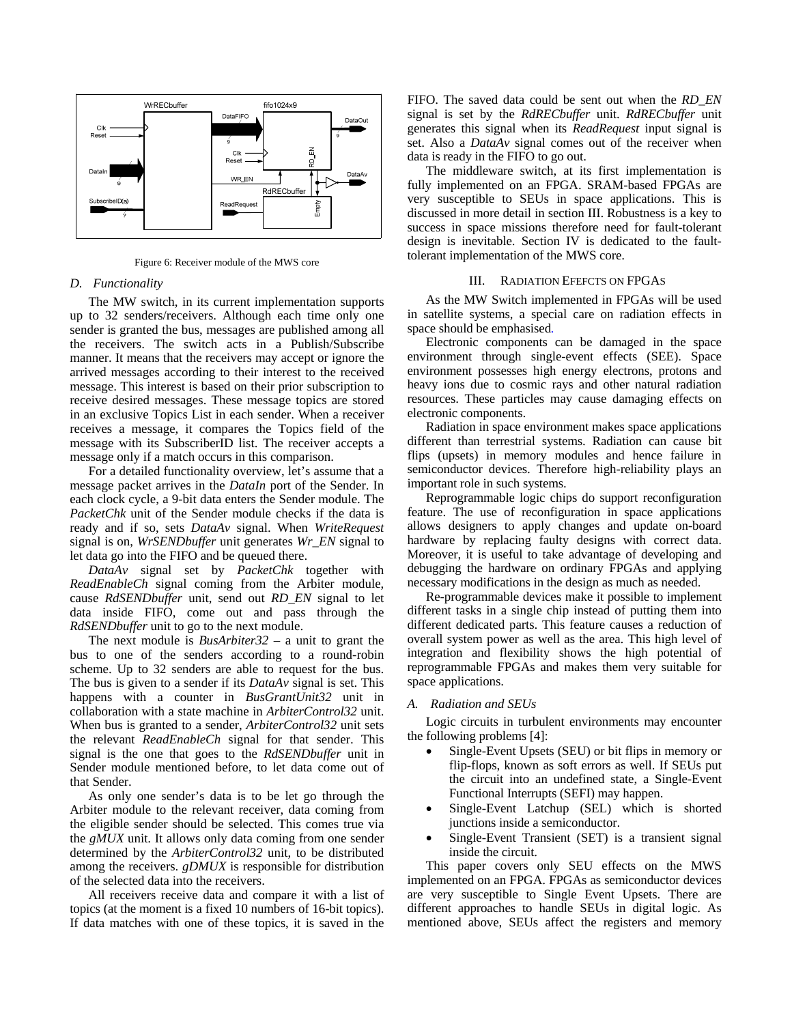

Figure 6: Receiver module of the MWS core

### *D. Functionality*

The MW switch, in its current implementation supports up to 32 senders/receivers. Although each time only one sender is granted the bus, messages are published among all the receivers. The switch acts in a Publish/Subscribe manner. It means that the receivers may accept or ignore the arrived messages according to their interest to the received message. This interest is based on their prior subscription to receive desired messages. These message topics are stored in an exclusive Topics List in each sender. When a receiver receives a message, it compares the Topics field of the message with its SubscriberID list. The receiver accepts a message only if a match occurs in this comparison.

For a detailed functionality overview, let's assume that a message packet arrives in the *DataIn* port of the Sender. In each clock cycle, a 9-bit data enters the Sender module. The *PacketChk* unit of the Sender module checks if the data is ready and if so, sets *DataAv* signal. When *WriteRequest* signal is on, *WrSENDbuffer* unit generates *Wr\_EN* signal to let data go into the FIFO and be queued there.

*DataAv* signal set by *PacketChk* together with *ReadEnableCh* signal coming from the Arbiter module, cause *RdSENDbuffer* unit, send out *RD\_EN* signal to let data inside FIFO, come out and pass through the *RdSENDbuffer* unit to go to the next module.

The next module is *BusArbiter32* – a unit to grant the bus to one of the senders according to a round-robin scheme. Up to 32 senders are able to request for the bus. The bus is given to a sender if its *DataAv* signal is set. This happens with a counter in *BusGrantUnit32* unit in collaboration with a state machine in *ArbiterControl32* unit. When bus is granted to a sender, *ArbiterControl32* unit sets the relevant *ReadEnableCh* signal for that sender. This signal is the one that goes to the *RdSENDbuffer* unit in Sender module mentioned before, to let data come out of that Sender.

As only one sender's data is to be let go through the Arbiter module to the relevant receiver, data coming from the eligible sender should be selected. This comes true via the *gMUX* unit. It allows only data coming from one sender determined by the *ArbiterControl32* unit, to be distributed among the receivers. *gDMUX* is responsible for distribution of the selected data into the receivers.

All receivers receive data and compare it with a list of topics (at the moment is a fixed 10 numbers of 16-bit topics). If data matches with one of these topics, it is saved in the

FIFO. The saved data could be sent out when the *RD\_EN* signal is set by the *RdRECbuffer* unit. *RdRECbuffer* unit generates this signal when its *ReadRequest* input signal is set. Also a *DataAv* signal comes out of the receiver when data is ready in the FIFO to go out.

The middleware switch, at its first implementation is fully implemented on an FPGA. SRAM-based FPGAs are very susceptible to SEUs in space applications. This is discussed in more detail in section III. Robustness is a key to success in space missions therefore need for fault-tolerant design is inevitable. Section IV is dedicated to the faulttolerant implementation of the MWS core.

### III. RADIATION EFEFCTS ON FPGAS

As the MW Switch implemented in FPGAs will be used in satellite systems, a special care on radiation effects in space should be emphasised*.* 

Electronic components can be damaged in the space environment through single-event effects (SEE). Space environment possesses high energy electrons, protons and heavy ions due to cosmic rays and other natural radiation resources. These particles may cause damaging effects on electronic components.

Radiation in space environment makes space applications different than terrestrial systems. Radiation can cause bit flips (upsets) in memory modules and hence failure in semiconductor devices. Therefore high-reliability plays an important role in such systems.

Reprogrammable logic chips do support reconfiguration feature. The use of reconfiguration in space applications allows designers to apply changes and update on-board hardware by replacing faulty designs with correct data. Moreover, it is useful to take advantage of developing and debugging the hardware on ordinary FPGAs and applying necessary modifications in the design as much as needed.

Re-programmable devices make it possible to implement different tasks in a single chip instead of putting them into different dedicated parts. This feature causes a reduction of overall system power as well as the area. This high level of integration and flexibility shows the high potential of reprogrammable FPGAs and makes them very suitable for space applications.

### *A. Radiation and SEUs*

Logic circuits in turbulent environments may encounter the following problems [4]:

- [Single-Event Upsets](http://en.wikipedia.org/wiki/Single-event_upset) (SEU) or bit flips in memory or flip-flops, known as soft errors as well. If SEUs put the circuit into an undefined state, a Single-Event Functional Interrupts (SEFI) may happen.
- Single-Event Latchup (SEL) which is shorted junctions inside a semiconductor.
- Single-Event Transient (SET) is a transient signal inside the circuit.

This paper covers only SEU effects on the MWS implemented on an FPGA. FPGAs as semiconductor devices are very susceptible to Single Event Upsets. There are different approaches to handle SEUs in digital logic. As mentioned above, SEUs affect the registers and memory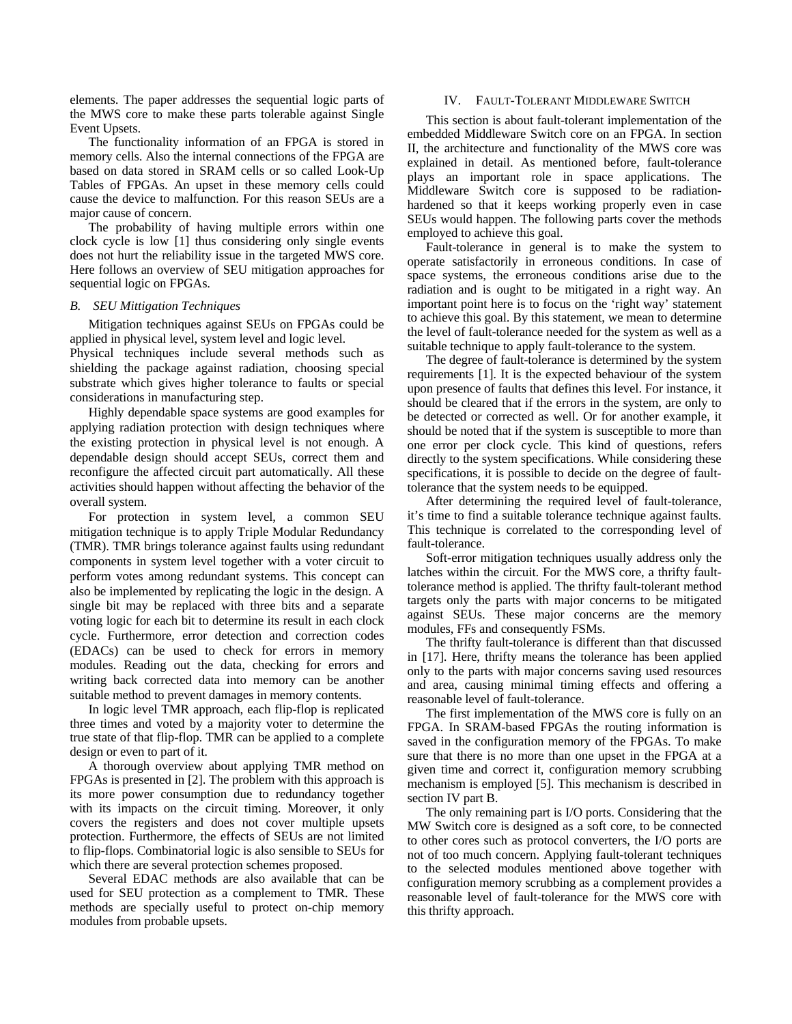elements. The paper addresses the sequential logic parts of the MWS core to make these parts tolerable against Single Event Upsets.

The functionality information of an FPGA is stored in memory cells. Also the internal connections of the FPGA are based on data stored in SRAM cells or so called Look-Up Tables of FPGAs. An upset in these memory cells could cause the device to malfunction. For this reason SEUs are a major cause of concern.

The probability of having multiple errors within one clock cycle is low [1] thus considering only single events does not hurt the reliability issue in the targeted MWS core. Here follows an overview of SEU mitigation approaches for sequential logic on FPGAs.

### *B. SEU Mittigation Techniques*

Mitigation techniques against SEUs on FPGAs could be applied in physical level, system level and logic level.

Physical techniques include several methods such as shielding the package against radiation, choosing special substrate which gives higher tolerance to faults or special considerations in manufacturing step.

Highly dependable space systems are good examples for applying radiation protection with design techniques where the existing protection in physical level is not enough. A dependable design should accept SEUs, correct them and reconfigure the affected circuit part automatically. All these activities should happen without affecting the behavior of the overall system.

For protection in system level, a common SEU mitigation technique is to apply Triple Modular Redundancy (TMR). TMR brings tolerance against faults using redundant components in system level together with a voter circuit to perform votes among redundant systems. This concept can also be implemented by replicating the logic in the design. A single bit may be replaced with three bits and a separate [voting logic](http://en.wikipedia.org/wiki/Voting_logic) for each bit to determine its result in each clock cycle. Furthermore, error detection and correction codes (EDACs) can be used to check for errors in memory modules. Reading out the data, checking for errors and writing back corrected data into memory can be another suitable method to prevent damages in memory contents.

In logic level TMR approach, each flip-flop is replicated three times and voted by a majority voter to determine the true state of that flip-flop. TMR can be applied to a complete design or even to part of it.

A thorough overview about applying TMR method on FPGAs is presented in [2]. The problem with this approach is its more power consumption due to redundancy together with its impacts on the circuit timing. Moreover, it only covers the registers and does not cover multiple upsets protection. Furthermore, the effects of SEUs are not limited to flip-flops. Combinatorial logic is also sensible to SEUs for which there are several protection schemes proposed.

Several EDAC methods are also available that can be used for SEU protection as a complement to TMR. These methods are specially useful to protect on-chip memory modules from probable upsets.

# IV. FAULT-TOLERANT MIDDLEWARE SWITCH

This section is about fault-tolerant implementation of the embedded Middleware Switch core on an FPGA. In section II, the architecture and functionality of the MWS core was explained in detail. As mentioned before, fault-tolerance plays an important role in space applications. The Middleware Switch core is supposed to be radiationhardened so that it keeps working properly even in case SEUs would happen. The following parts cover the methods employed to achieve this goal.

Fault-tolerance in general is to make the system to operate satisfactorily in erroneous conditions. In case of space systems, the erroneous conditions arise due to the radiation and is ought to be mitigated in a right way. An important point here is to focus on the 'right way' statement to achieve this goal. By this statement, we mean to determine the level of fault-tolerance needed for the system as well as a suitable technique to apply fault-tolerance to the system.

The degree of fault-tolerance is determined by the system requirements [1]. It is the expected behaviour of the system upon presence of faults that defines this level. For instance, it should be cleared that if the errors in the system, are only to be detected or corrected as well. Or for another example, it should be noted that if the system is susceptible to more than one error per clock cycle. This kind of questions, refers directly to the system specifications. While considering these specifications, it is possible to decide on the degree of faulttolerance that the system needs to be equipped.

After determining the required level of fault-tolerance, it's time to find a suitable tolerance technique against faults. This technique is correlated to the corresponding level of fault-tolerance.

Soft-error mitigation techniques usually address only the latches within the circuit. For the MWS core, a thrifty faulttolerance method is applied. The thrifty fault-tolerant method targets only the parts with major concerns to be mitigated against SEUs. These major concerns are the memory modules, FFs and consequently FSMs.

The thrifty fault-tolerance is different than that discussed in [17]. Here, thrifty means the tolerance has been applied only to the parts with major concerns saving used resources and area, causing minimal timing effects and offering a reasonable level of fault-tolerance.

The first implementation of the MWS core is fully on an FPGA. In SRAM-based FPGAs the routing information is saved in the configuration memory of the FPGAs. To make sure that there is no more than one upset in the FPGA at a given time and correct it, configuration memory scrubbing mechanism is employed [5]. This mechanism is described in section IV part B.

The only remaining part is I/O ports. Considering that the MW Switch core is designed as a soft core, to be connected to other cores such as protocol converters, the I/O ports are not of too much concern. Applying fault-tolerant techniques to the selected modules mentioned above together with configuration memory scrubbing as a complement provides a reasonable level of fault-tolerance for the MWS core with this thrifty approach.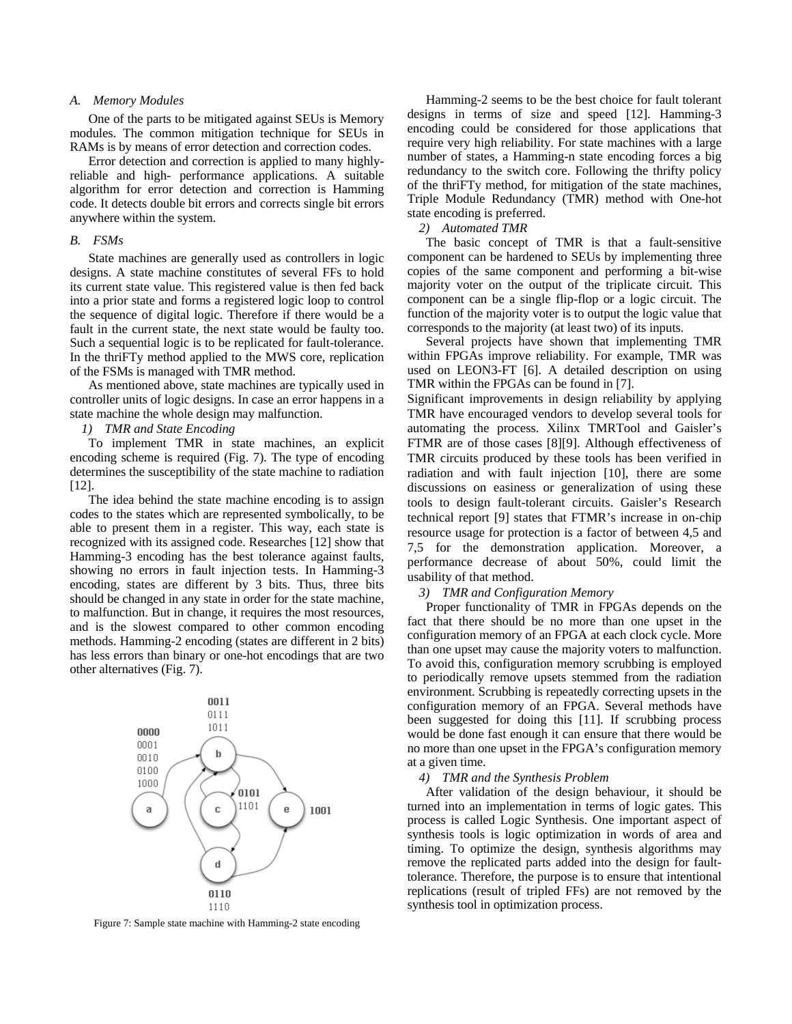### *A. Memory Modules*

One of the parts to be mitigated against SEUs is Memory modules. The common mitigation technique for SEUs in RAMs is by means of error detection and correction codes.

Error detection and correction is applied to many highlyreliable and high- performance applications. A suitable algorithm for error detection and correction is Hamming code. It detects double bit errors and corrects single bit errors anywhere within the system.

### *B. FSMs*

State machines are generally used as controllers in logic designs. A state machine constitutes of several FFs to hold its current state value. This registered value is then fed back into a prior state and forms a registered logic loop to control the sequence of digital logic. Therefore if there would be a fault in the current state, the next state would be faulty too. Such a sequential logic is to be replicated for fault-tolerance. In the thriFTy method applied to the MWS core, replication of the FSMs is managed with TMR method.

As mentioned above, state machines are typically used in controller units of logic designs. In case an error happens in a state machine the whole design may malfunction.

*1) TMR and State Encoding* 

To implement TMR in state machines, an explicit encoding scheme is required (Fig. 7). The type of encoding determines the susceptibility of the state machine to radiation [12].

The idea behind the state machine encoding is to assign codes to the states which are represented symbolically, to be able to present them in a register. This way, each state is recognized with its assigned code. Researches [12] show that Hamming-3 encoding has the best tolerance against faults, showing no errors in fault injection tests. In Hamming-3 encoding, states are different by 3 bits. Thus, three bits should be changed in any state in order for the state machine, to malfunction. But in change, it requires the most resources, and is the slowest compared to other common encoding methods. Hamming-2 encoding (states are different in 2 bits) has less errors than binary or one-hot encodings that are two other alternatives (Fig. 7).



Figure 7: Sample state machine with Hamming-2 state encoding

Hamming-2 seems to be the best choice for fault tolerant designs in terms of size and speed [12]. Hamming-3 encoding could be considered for those applications that require very high reliability. For state machines with a large number of states, a Hamming-n state encoding forces a big redundancy to the switch core. Following the thrifty policy of the thriFTy method, for mitigation of the state machines, Triple Module Redundancy (TMR) method with One-hot state encoding is preferred.

### *2) Automated TMR*

The basic concept of TMR is that a fault-sensitive component can be hardened to SEUs by implementing three copies of the same component and performing a bit-wise majority voter on the output of the triplicate circuit. This component can be a single flip-flop or a logic circuit. The function of the majority voter is to output the logic value that corresponds to the majority (at least two) of its inputs.

Several projects have shown that implementing TMR within FPGAs improve reliability. For example, TMR was used on LEON3-FT [6]. A detailed description on using TMR within the FPGAs can be found in [7].

Significant improvements in design reliability by applying TMR have encouraged vendors to develop several tools for automating the process. Xilinx TMRTool and Gaisler's FTMR are of those cases [8][9]. Although effectiveness of TMR circuits produced by these tools has been verified in radiation and with fault injection [10], there are some discussions on easiness or generalization of using these tools to design fault-tolerant circuits. Gaisler's Research technical report [9] states that FTMR's increase in on-chip resource usage for protection is a factor of between 4,5 and 7,5 for the demonstration application. Moreover, a performance decrease of about 50%, could limit the usability of that method.

### *3) TMR and Configuration Memory*

Proper functionality of TMR in FPGAs depends on the fact that there should be no more than one upset in the configuration memory of an FPGA at each clock cycle. More than one upset may cause the majority voters to malfunction. To avoid this, configuration memory scrubbing is employed to periodically remove upsets stemmed from the radiation environment. Scrubbing is repeatedly correcting upsets in the configuration memory of an FPGA. Several methods have been suggested for doing this [11]. If scrubbing process would be done fast enough it can ensure that there would be no more than one upset in the FPGA's configuration memory at a given time.

### *4) TMR and the Synthesis Problem*

After validation of the design behaviour, it should be turned into an implementation in terms of logic gates. This process is called Logic Synthesis. One important aspect of synthesis tools is logic optimization in words of area and timing. To optimize the design, synthesis algorithms may remove the replicated parts added into the design for faulttolerance. Therefore, the purpose is to ensure that intentional replications (result of tripled FFs) are not removed by the synthesis tool in optimization process.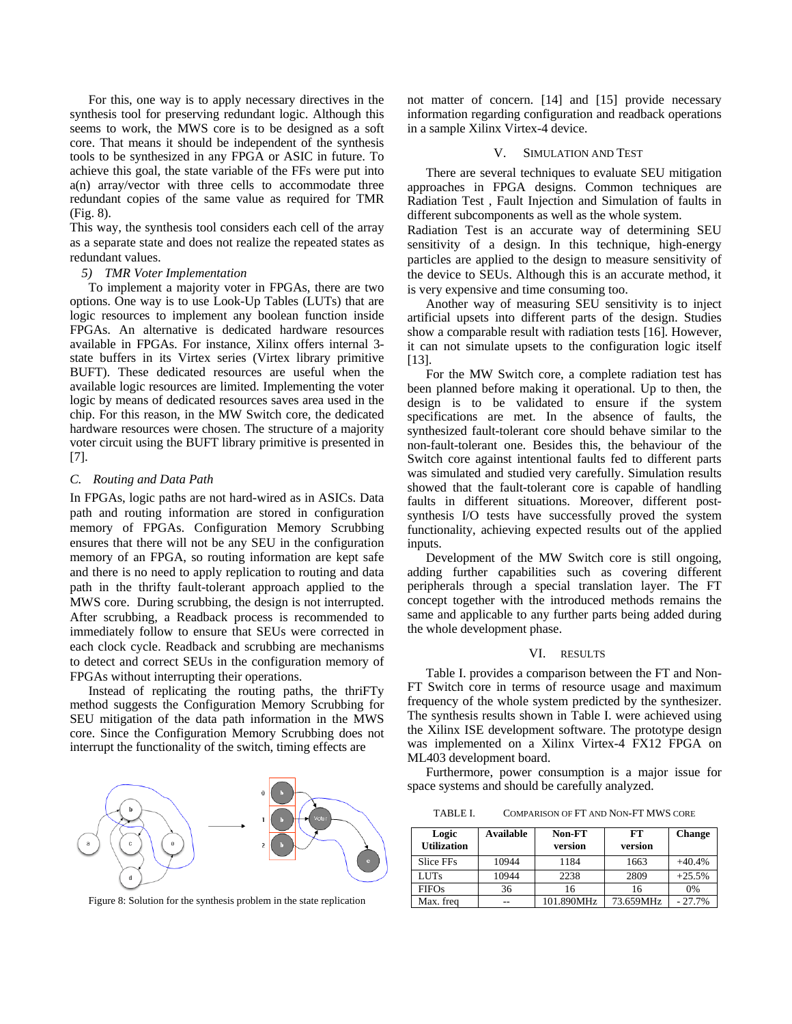For this, one way is to apply necessary directives in the synthesis tool for preserving redundant logic. Although this seems to work, the MWS core is to be designed as a soft core. That means it should be independent of the synthesis tools to be synthesized in any FPGA or ASIC in future. To achieve this goal, the state variable of the FFs were put into a(n) array/vector with three cells to accommodate three redundant copies of the same value as required for TMR (Fig. 8).

This way, the synthesis tool considers each cell of the array as a separate state and does not realize the repeated states as redundant values.

### *5) TMR Voter Implementation*

To implement a majority voter in FPGAs, there are two options. One way is to use Look-Up Tables (LUTs) that are logic resources to implement any boolean function inside FPGAs. An alternative is dedicated hardware resources available in FPGAs. For instance, Xilinx offers internal 3 state buffers in its Virtex series (Virtex library primitive BUFT). These dedicated resources are useful when the available logic resources are limited. Implementing the voter logic by means of dedicated resources saves area used in the chip. For this reason, in the MW Switch core, the dedicated hardware resources were chosen. The structure of a majority voter circuit using the BUFT library primitive is presented in [7].

#### *C. Routing and Data Path*

In FPGAs, logic paths are not hard-wired as in ASICs. Data path and routing information are stored in configuration memory of FPGAs. Configuration Memory Scrubbing ensures that there will not be any SEU in the configuration memory of an FPGA, so routing information are kept safe and there is no need to apply replication to routing and data path in the thrifty fault-tolerant approach applied to the MWS core. During scrubbing, the design is not interrupted. After scrubbing, a Readback process is recommended to immediately follow to ensure that SEUs were corrected in each clock cycle. Readback and scrubbing are mechanisms to detect and correct SEUs in the configuration memory of FPGAs without interrupting their operations.

Instead of replicating the routing paths, the thriFTy method suggests the Configuration Memory Scrubbing for SEU mitigation of the data path information in the MWS core. Since the Configuration Memory Scrubbing does not interrupt the functionality of the switch, timing effects are



Figure 8: Solution for the synthesis problem in the state replication

not matter of concern. [14] and [15] provide necessary information regarding configuration and readback operations in a sample Xilinx Virtex-4 device.

#### V. SIMULATION AND TEST

There are several techniques to evaluate SEU mitigation approaches in FPGA designs. Common techniques are Radiation Test , Fault Injection and Simulation of faults in different subcomponents as well as the whole system.

Radiation Test is an accurate way of determining SEU sensitivity of a design. In this technique, high-energy particles are applied to the design to measure sensitivity of the device to SEUs. Although this is an accurate method, it is very expensive and time consuming too.

Another way of measuring SEU sensitivity is to inject artificial upsets into different parts of the design. Studies show a comparable result with radiation tests [16]. However, it can not simulate upsets to the configuration logic itself [13].

For the MW Switch core, a complete radiation test has been planned before making it operational. Up to then, the design is to be validated to ensure if the system specifications are met. In the absence of faults, the synthesized fault-tolerant core should behave similar to the non-fault-tolerant one. Besides this, the behaviour of the Switch core against intentional faults fed to different parts was simulated and studied very carefully. Simulation results showed that the fault-tolerant core is capable of handling faults in different situations. Moreover, different postsynthesis I/O tests have successfully proved the system functionality, achieving expected results out of the applied inputs.

Development of the MW Switch core is still ongoing, adding further capabilities such as covering different peripherals through a special translation layer. The FT concept together with the introduced methods remains the same and applicable to any further parts being added during the whole development phase.

#### VI. RESULTS

Table I. provides a comparison between the FT and Non-FT Switch core in terms of resource usage and maximum frequency of the whole system predicted by the synthesizer. The synthesis results shown in Table I. were achieved using the Xilinx ISE development software. The prototype design was implemented on a Xilinx Virtex-4 FX12 FPGA on ML403 development board.

Furthermore, power consumption is a major issue for space systems and should be carefully analyzed.

TABLE I. COMPARISON OF FT AND NON-FT MWS CORE

| Logic<br><b>Utilization</b> | Available | Non-FT<br>version | <b>FT</b><br>version | <b>Change</b> |
|-----------------------------|-----------|-------------------|----------------------|---------------|
| Slice FFs                   | 10944     | 1184              | 1663                 | $+40.4%$      |
| <b>LUTs</b>                 | 10944     | 2238              | 2809                 | $+25.5%$      |
| <b>FIFOs</b>                | 36        | 16                | 16                   | 0%            |
| Max. freq                   |           | 101.890MHz        | 73.659MHz            | $-27.7%$      |